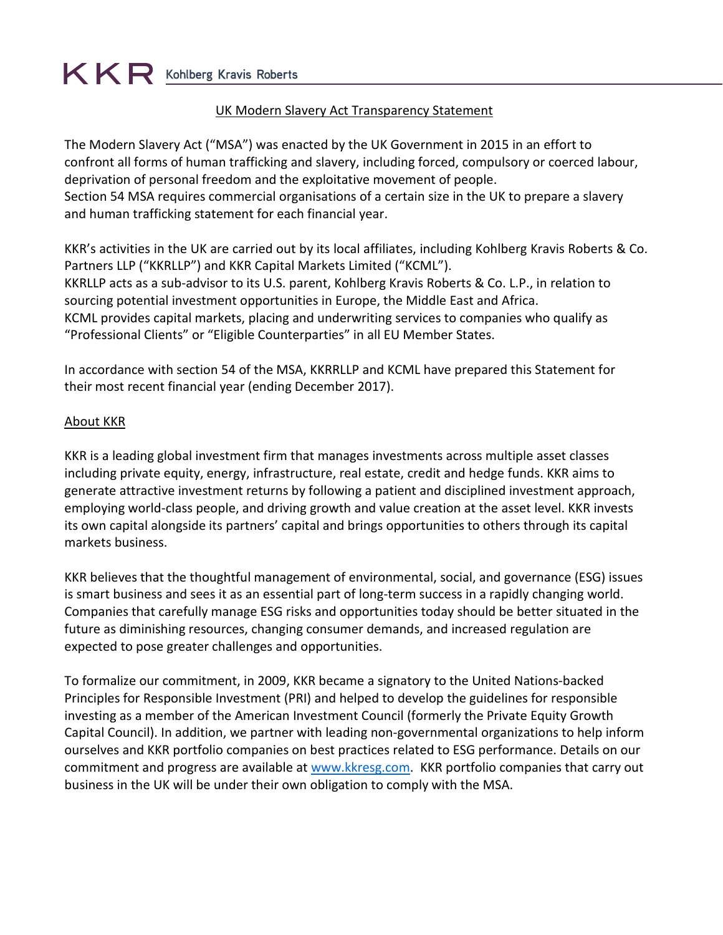#### UK Modern Slavery Act Transparency Statement

The Modern Slavery Act ("MSA") was enacted by the UK Government in 2015 in an effort to confront all forms of human trafficking and slavery, including forced, compulsory or coerced labour, deprivation of personal freedom and the exploitative movement of people. Section 54 MSA requires commercial organisations of a certain size in the UK to prepare a slavery and human trafficking statement for each financial year.

KKR's activities in the UK are carried out by its local affiliates, including Kohlberg Kravis Roberts & Co. Partners LLP ("KKRLLP") and KKR Capital Markets Limited ("KCML"). KKRLLP acts as a sub-advisor to its U.S. parent, Kohlberg Kravis Roberts & Co. L.P., in relation to sourcing potential investment opportunities in Europe, the Middle East and Africa. KCML provides capital markets, placing and underwriting services to companies who qualify as "Professional Clients" or "Eligible Counterparties" in all EU Member States.

In accordance with section 54 of the MSA, KKRRLLP and KCML have prepared this Statement for their most recent financial year (ending December 2017).

#### **About KKR**

KKR is a leading global investment firm that manages investments across multiple asset classes including private equity, energy, infrastructure, real estate, credit and hedge funds. KKR aims to generate attractive investment returns by following a patient and disciplined investment approach, employing world-class people, and driving growth and value creation at the asset level. KKR invests its own capital alongside its partners' capital and brings opportunities to others through its capital markets business.

KKR believes that the thoughtful management of environmental, social, and governance (ESG) issues is smart business and sees it as an essential part of long-term success in a rapidly changing world. Companies that carefully manage ESG risks and opportunities today should be better situated in the future as diminishing resources, changing consumer demands, and increased regulation are expected to pose greater challenges and opportunities.

To formalize our commitment, in 2009, KKR became a signatory to the United Nations-backed Principles for Responsible Investment (PRI) and helped to develop the guidelines for responsible investing as a member of the American Investment Council (formerly the Private Equity Growth Capital Council). In addition, we partner with leading non-governmental organizations to help inform ourselves and KKR portfolio companies on best practices related to ESG performance. Details on our commitment and progress are available at [www.kkresg.com.](http://www.kkresg.com/) KKR portfolio companies that carry out business in the UK will be under their own obligation to comply with the MSA.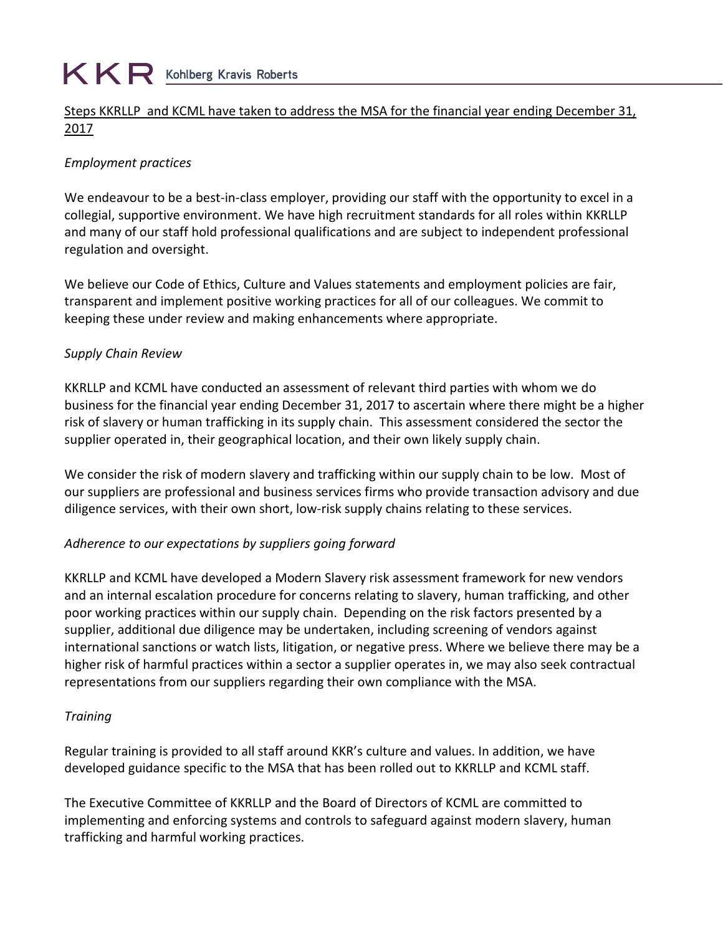# $K \mathsf{R}$  Kohlberg Kravis Roberts

### Steps KKRLLP and KCML have taken to address the MSA for the financial year ending December 31, 2017

## *Employment practices*

We endeavour to be a best-in-class employer, providing our staff with the opportunity to excel in a collegial, supportive environment. We have high recruitment standards for all roles within KKRLLP and many of our staff hold professional qualifications and are subject to independent professional regulation and oversight.

We believe our Code of Ethics, Culture and Values statements and employment policies are fair, transparent and implement positive working practices for all of our colleagues. We commit to keeping these under review and making enhancements where appropriate.

## *Supply Chain Review*

KKRLLP and KCML have conducted an assessment of relevant third parties with whom we do business for the financial year ending December 31, 2017 to ascertain where there might be a higher risk of slavery or human trafficking in its supply chain. This assessment considered the sector the supplier operated in, their geographical location, and their own likely supply chain.

We consider the risk of modern slavery and trafficking within our supply chain to be low. Most of our suppliers are professional and business services firms who provide transaction advisory and due diligence services, with their own short, low-risk supply chains relating to these services.

## *Adherence to our expectations by suppliers going forward*

KKRLLP and KCML have developed a Modern Slavery risk assessment framework for new vendors and an internal escalation procedure for concerns relating to slavery, human trafficking, and other poor working practices within our supply chain. Depending on the risk factors presented by a supplier, additional due diligence may be undertaken, including screening of vendors against international sanctions or watch lists, litigation, or negative press. Where we believe there may be a higher risk of harmful practices within a sector a supplier operates in, we may also seek contractual representations from our suppliers regarding their own compliance with the MSA.

#### *Training*

Regular training is provided to all staff around KKR's culture and values. In addition, we have developed guidance specific to the MSA that has been rolled out to KKRLLP and KCML staff.

The Executive Committee of KKRLLP and the Board of Directors of KCML are committed to implementing and enforcing systems and controls to safeguard against modern slavery, human trafficking and harmful working practices.